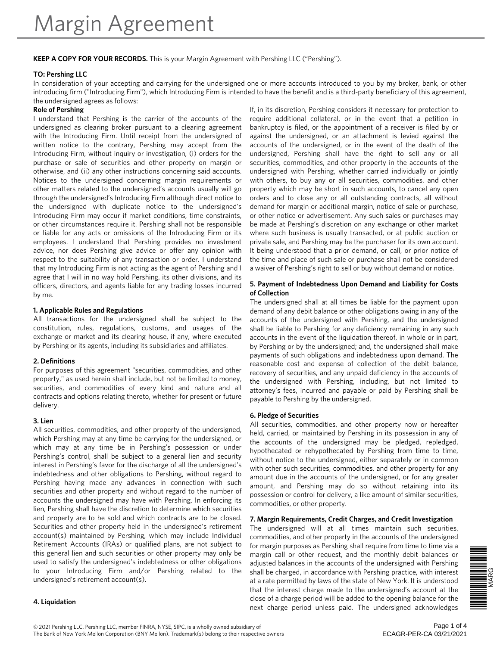# **KEEP A COPY FOR YOUR RECORDS.** This is your Margin Agreement with Pershing LLC ("Pershing").

#### **TO: Pershing LLC**

In consideration of your accepting and carrying for the undersigned one or more accounts introduced to you by my broker, bank, or other introducing firm ("Introducing Firm"), which Introducing Firm is intended to have the benefit and is a third-party beneficiary of this agreement, the undersigned agrees as follows:

#### **Role of Pershing**

I understand that Pershing is the carrier of the accounts of the undersigned as clearing broker pursuant to a clearing agreement with the Introducing Firm. Until receipt from the undersigned of written notice to the contrary, Pershing may accept from the Introducing Firm, without inquiry or investigation, (i) orders for the purchase or sale of securities and other property on margin or otherwise, and (ii) any other instructions concerning said accounts. Notices to the undersigned concerning margin requirements or other matters related to the undersigned's accounts usually will go through the undersigned's Introducing Firm although direct notice to the undersigned with duplicate notice to the undersigned's Introducing Firm may occur if market conditions, time constraints, or other circumstances require it. Pershing shall not be responsible or liable for any acts or omissions of the Introducing Firm or its employees. I understand that Pershing provides no investment advice, nor does Pershing give advice or offer any opinion with respect to the suitability of any transaction or order. I understand that my Introducing Firm is not acting as the agent of Pershing and I agree that I will in no way hold Pershing, its other divisions, and its officers, directors, and agents liable for any trading losses incurred by me.

#### **1. Applicable Rules and Regulations**

All transactions for the undersigned shall be subject to the constitution, rules, regulations, customs, and usages of the exchange or market and its clearing house, if any, where executed by Pershing or its agents, including its subsidiaries and affiliates.

### **2. Definitions**

For purposes of this agreement "securities, commodities, and other property," as used herein shall include, but not be limited to money, securities, and commodities of every kind and nature and all contracts and options relating thereto, whether for present or future delivery.

#### **3. Lien**

All securities, commodities, and other property of the undersigned, which Pershing may at any time be carrying for the undersigned, or which may at any time be in Pershing's possession or under Pershing's control, shall be subject to a general lien and security interest in Pershing's favor for the discharge of all the undersigned's indebtedness and other obligations to Pershing, without regard to Pershing having made any advances in connection with such securities and other property and without regard to the number of accounts the undersigned may have with Pershing. In enforcing its lien, Pershing shall have the discretion to determine which securities and property are to be sold and which contracts are to be closed. Securities and other property held in the undersigned's retirement account(s) maintained by Pershing, which may include Individual Retirement Accounts (IRAs) or qualified plans, are not subject to this general lien and such securities or other property may only be used to satisfy the undersigned's indebtedness or other obligations to your Introducing Firm and/or Pershing related to the undersigned's retirement account(s).

#### **4. Liquidation**

If, in its discretion, Pershing considers it necessary for protection to require additional collateral, or in the event that a petition in bankruptcy is filed, or the appointment of a receiver is filed by or against the undersigned, or an attachment is levied against the accounts of the undersigned, or in the event of the death of the undersigned, Pershing shall have the right to sell any or all securities, commodities, and other property in the accounts of the undersigned with Pershing, whether carried individually or jointly with others, to buy any or all securities, commodities, and other property which may be short in such accounts, to cancel any open orders and to close any or all outstanding contracts, all without demand for margin or additional margin, notice of sale or purchase, or other notice or advertisement. Any such sales or purchases may be made at Pershing's discretion on any exchange or other market where such business is usually transacted, or at public auction or private sale, and Pershing may be the purchaser for its own account. It being understood that a prior demand, or call, or prior notice of the time and place of such sale or purchase shall not be considered a waiver of Pershing's right to sell or buy without demand or notice.

#### **5. Payment of Indebtedness Upon Demand and Liability for Costs of Collection**

The undersigned shall at all times be liable for the payment upon demand of any debit balance or other obligations owing in any of the accounts of the undersigned with Pershing, and the undersigned shall be liable to Pershing for any deficiency remaining in any such accounts in the event of the liquidation thereof, in whole or in part, by Pershing or by the undersigned; and, the undersigned shall make payments of such obligations and indebtedness upon demand. The reasonable cost and expense of collection of the debit balance, recovery of securities, and any unpaid deficiency in the accounts of the undersigned with Pershing, including, but not limited to attorney's fees, incurred and payable or paid by Pershing shall be payable to Pershing by the undersigned.

#### **6. Pledge of Securities**

All securities, commodities, and other property now or hereafter held, carried, or maintained by Pershing in its possession in any of the accounts of the undersigned may be pledged, repledged, hypothecated or rehypothecated by Pershing from time to time, without notice to the undersigned, either separately or in common with other such securities, commodities, and other property for any amount due in the accounts of the undersigned, or for any greater amount, and Pershing may do so without retaining into its possession or control for delivery, a like amount of similar securities, commodities, or other property.

### **7. Margin Requirements, Credit Charges, and Credit Investigation**

The undersigned will at all times maintain such securities, commodities, and other property in the accounts of the undersigned for margin purposes as Pershing shall require from time to time via a margin call or other request, and the monthly debit balances or adjusted balances in the accounts of the undersigned with Pershing shall be charged, in accordance with Pershing practice, with interest at a rate permitted by laws of the state of New York. It is understood that the interest charge made to the undersigned's account at the close of a charge period will be added to the opening balance for the next charge period unless paid. The undersigned acknowledges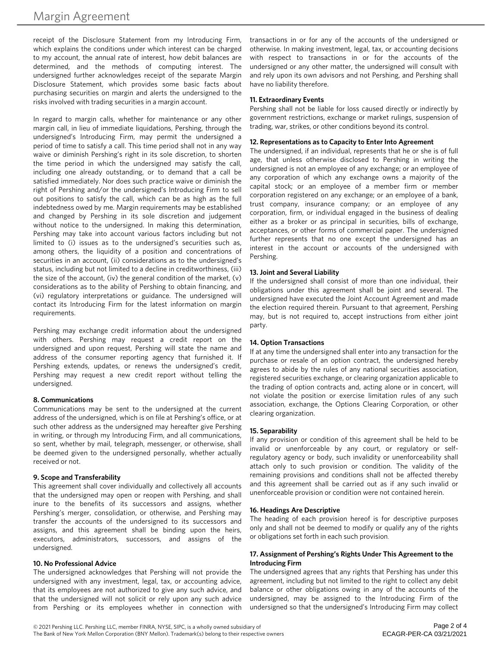receipt of the Disclosure Statement from my Introducing Firm, which explains the conditions under which interest can be charged to my account, the annual rate of interest, how debit balances are determined, and the methods of computing interest. The undersigned further acknowledges receipt of the separate Margin Disclosure Statement, which provides some basic facts about purchasing securities on margin and alerts the undersigned to the risks involved with trading securities in a margin account.

In regard to margin calls, whether for maintenance or any other margin call, in lieu of immediate liquidations, Pershing, through the undersigned's Introducing Firm, may permit the undersigned a period of time to satisfy a call. This time period shall not in any way waive or diminish Pershing's right in its sole discretion, to shorten the time period in which the undersigned may satisfy the call, including one already outstanding, or to demand that a call be satisfied immediately. Nor does such practice waive or diminish the right of Pershing and/or the undersigned's Introducing Firm to sell out positions to satisfy the call, which can be as high as the full indebtedness owed by me. Margin requirements may be established and changed by Pershing in its sole discretion and judgement without notice to the undersigned. In making this determination, Pershing may take into account various factors including but not limited to (i) issues as to the undersigned's securities such as, among others, the liquidity of a position and concentrations of securities in an account, (ii) considerations as to the undersigned's status, including but not limited to a decline in creditworthiness, (iii) the size of the account, (iv) the general condition of the market, (v) considerations as to the ability of Pershing to obtain financing, and (vi) regulatory interpretations or guidance. The undersigned will contact its Introducing Firm for the latest information on margin requirements.

Pershing may exchange credit information about the undersigned with others. Pershing may request a credit report on the undersigned and upon request, Pershing will state the name and address of the consumer reporting agency that furnished it. If Pershing extends, updates, or renews the undersigned's credit, Pershing may request a new credit report without telling the undersigned.

### **8. Communications**

Communications may be sent to the undersigned at the current address of the undersigned, which is on file at Pershing's office, or at such other address as the undersigned may hereafter give Pershing in writing, or through my Introducing Firm, and all communications, so sent, whether by mail, telegraph, messenger, or otherwise, shall be deemed given to the undersigned personally, whether actually received or not.

### **9. Scope and Transferability**

This agreement shall cover individually and collectively all accounts that the undersigned may open or reopen with Pershing, and shall inure to the benefits of its successors and assigns, whether Pershing's merger, consolidation, or otherwise, and Pershing may transfer the accounts of the undersigned to its successors and assigns, and this agreement shall be binding upon the heirs, executors, administrators, successors, and assigns of the undersigned.

### **10. No Professional Advice**

The undersigned acknowledges that Pershing will not provide the undersigned with any investment, legal, tax, or accounting advice, that its employees are not authorized to give any such advice, and that the undersigned will not solicit or rely upon any such advice from Pershing or its employees whether in connection with

transactions in or for any of the accounts of the undersigned or otherwise. In making investment, legal, tax, or accounting decisions with respect to transactions in or for the accounts of the undersigned or any other matter, the undersigned will consult with and rely upon its own advisors and not Pershing, and Pershing shall have no liability therefore.

# **11. Extraordinary Events**

Pershing shall not be liable for loss caused directly or indirectly by government restrictions, exchange or market rulings, suspension of trading, war, strikes, or other conditions beyond its control.

# **12. Representations as to Capacity to Enter Into Agreement**

The undersigned, if an individual, represents that he or she is of full age, that unless otherwise disclosed to Pershing in writing the undersigned is not an employee of any exchange; or an employee of any corporation of which any exchange owns a majority of the capital stock; or an employee of a member firm or member corporation registered on any exchange; or an employee of a bank, trust company, insurance company; or an employee of any corporation, firm, or individual engaged in the business of dealing either as a broker or as principal in securities, bills of exchange, acceptances, or other forms of commercial paper. The undersigned further represents that no one except the undersigned has an interest in the account or accounts of the undersigned with Pershing.

### **13. Joint and Several Liability**

If the undersigned shall consist of more than one individual, their obligations under this agreement shall be joint and several. The undersigned have executed the Joint Account Agreement and made the election required therein. Pursuant to that agreement, Pershing may, but is not required to, accept instructions from either joint party.

### **14. Option Transactions**

If at any time the undersigned shall enter into any transaction for the purchase or resale of an option contract, the undersigned hereby agrees to abide by the rules of any national securities association, registered securities exchange, or clearing organization applicable to the trading of option contracts and, acting alone or in concert, will not violate the position or exercise limitation rules of any such association, exchange, the Options Clearing Corporation, or other clearing organization.

# **15. Separability**

If any provision or condition of this agreement shall be held to be invalid or unenforceable by any court, or regulatory or selfregulatory agency or body, such invalidity or unenforceability shall attach only to such provision or condition. The validity of the remaining provisions and conditions shall not be affected thereby and this agreement shall be carried out as if any such invalid or unenforceable provision or condition were not contained herein.

### **16. Headings Are Descriptive**

The heading of each provision hereof is for descriptive purposes only and shall not be deemed to modify or qualify any of the rights or obligations set forth in each such provision.

### **17. Assignment of Pershing's Rights Under This Agreement to the Introducing Firm**

The undersigned agrees that any rights that Pershing has under this agreement, including but not limited to the right to collect any debit balance or other obligations owing in any of the accounts of the undersigned, may be assigned to the Introducing Firm of the undersigned so that the undersigned's Introducing Firm may collect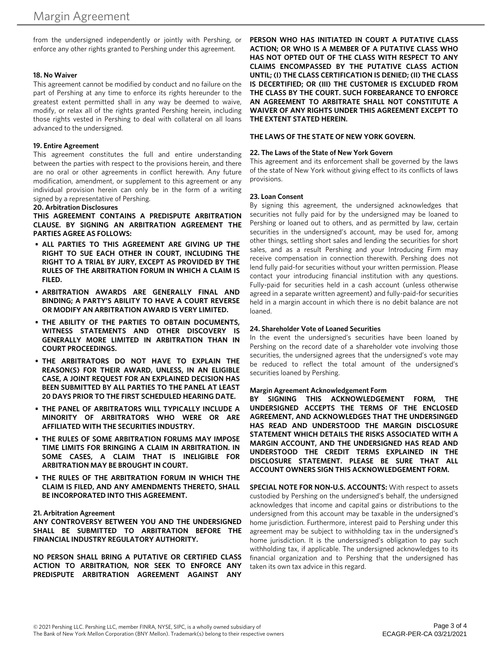from the undersigned independently or jointly with Pershing, or enforce any other rights granted to Pershing under this agreement.

#### **18. No Waiver**

This agreement cannot be modified by conduct and no failure on the part of Pershing at any time to enforce its rights hereunder to the greatest extent permitted shall in any way be deemed to waive, modify, or relax all of the rights granted Pershing herein, including those rights vested in Pershing to deal with collateral on all loans advanced to the undersigned.

#### **19. Entire Agreement**

This agreement constitutes the full and entire understanding between the parties with respect to the provisions herein, and there are no oral or other agreements in conflict herewith. Any future modification, amendment, or supplement to this agreement or any individual provision herein can only be in the form of a writing signed by a representative of Pershing.

#### **20. Arbitration Disclosures**

**THIS AGREEMENT CONTAINS A PREDISPUTE ARBITRATION CLAUSE. BY SIGNING AN ARBITRATION AGREEMENT THE PARTIES AGREE AS FOLLOWS:**

- **• ALL PARTIES TO THIS AGREEMENT ARE GIVING UP THE RIGHT TO SUE EACH OTHER IN COURT, INCLUDING THE RIGHT TO A TRIAL BY JURY, EXCEPT AS PROVIDED BY THE RULES OF THE ARBITRATION FORUM IN WHICH A CLAIM IS FILED.**
- **• ARBITRATION AWARDS ARE GENERALLY FINAL AND BINDING; A PARTY'S ABILITY TO HAVE A COURT REVERSE OR MODIFY AN ARBITRATION AWARD IS VERY LIMITED.**
- **• THE ABILITY OF THE PARTIES TO OBTAIN DOCUMENTS, WITNESS STATEMENTS AND OTHER DISCOVERY IS GENERALLY MORE LIMITED IN ARBITRATION THAN IN COURT PROCEEDINGS.**
- **• THE ARBITRATORS DO NOT HAVE TO EXPLAIN THE REASON(S) FOR THEIR AWARD, UNLESS, IN AN ELIGIBLE CASE, A JOINT REQUEST FOR AN EXPLAINED DECISION HAS BEEN SUBMITTED BY ALL PARTIES TO THE PANEL AT LEAST 20 DAYS PRIOR TO THE FIRST SCHEDULED HEARING DATE.**
- **• THE PANEL OF ARBITRATORS WILL TYPICALLY INCLUDE A MINORITY OF ARBITRATORS WHO WERE OR ARE AFFILIATED WITH THE SECURITIES INDUSTRY.**
- **• THE RULES OF SOME ARBITRATION FORUMS MAY IMPOSE TIME LIMITS FOR BRINGING A CLAIM IN ARBITRATION. IN SOME CASES, A CLAIM THAT IS INELIGIBLE FOR ARBITRATION MAY BE BROUGHT IN COURT.**
- **• THE RULES OF THE ARBITRATION FORUM IN WHICH THE CLAIM IS FILED, AND ANY AMENDMENTS THERETO, SHALL BE INCORPORATED INTO THIS AGREEMENT.**

#### **21. Arbitration Agreement**

**ANY CONTROVERSY BETWEEN YOU AND THE UNDERSIGNED SHALL BE SUBMITTED TO ARBITRATION BEFORE THE FINANCIAL INDUSTRY REGULATORY AUTHORITY.**

**NO PERSON SHALL BRING A PUTATIVE OR CERTIFIED CLASS ACTION TO ARBITRATION, NOR SEEK TO ENFORCE ANY PREDISPUTE ARBITRATION AGREEMENT AGAINST ANY**

**PERSON WHO HAS INITIATED IN COURT A PUTATIVE CLASS ACTION; OR WHO IS A MEMBER OF A PUTATIVE CLASS WHO HAS NOT OPTED OUT OF THE CLASS WITH RESPECT TO ANY CLAIMS ENCOMPASSED BY THE PUTATIVE CLASS ACTION UNTIL; (I) THE CLASS CERTIFICATION IS DENIED; (II) THE CLASS IS DECERTIFIED; OR (III) THE CUSTOMER IS EXCLUDED FROM THE CLASS BY THE COURT. SUCH FORBEARANCE TO ENFORCE AN AGREEMENT TO ARBITRATE SHALL NOT CONSTITUTE A WAIVER OF ANY RIGHTS UNDER THIS AGREEMENT EXCEPT TO THE EXTENT STATED HEREIN.**

#### **THE LAWS OF THE STATE OF NEW YORK GOVERN.**

#### **22. The Laws of the State of New York Govern**

This agreement and its enforcement shall be governed by the laws of the state of New York without giving effect to its conflicts of laws provisions.

#### **23. Loan Consent**

By signing this agreement, the undersigned acknowledges that securities not fully paid for by the undersigned may be loaned to Pershing or loaned out to others, and as permitted by law, certain securities in the undersigned's account, may be used for, among other things, settling short sales and lending the securities for short sales, and as a result Pershing and your Introducing Firm may receive compensation in connection therewith. Pershing does not lend fully paid-for securities without your written permission. Please contact your introducing financial institution with any questions. Fully-paid for securities held in a cash account (unless otherwise agreed in a separate written agreement) and fully-paid-for securities held in a margin account in which there is no debit balance are not loaned.

### **24. Shareholder Vote of Loaned Securities**

In the event the undersigned's securities have been loaned by Pershing on the record date of a shareholder vote involving those securities, the undersigned agrees that the undersigned's vote may be reduced to reflect the total amount of the undersigned's securities loaned by Pershing.

#### **Margin Agreement Acknowledgement Form**

**BY SIGNING THIS ACKNOWLEDGEMENT FORM, THE UNDERSIGNED ACCEPTS THE TERMS OF THE ENCLOSED AGREEMENT, AND ACKNOWLEDGES THAT THE UNDERSINGED HAS READ AND UNDERSTOOD THE MARGIN DISCLOSURE STATEMENT WHICH DETAILS THE RISKS ASSOCIATED WITH A MARGIN ACCOUNT, AND THE UNDERSIGNED HAS READ AND UNDERSTOOD THE CREDIT TERMS EXPLAINED IN THE DISCLOSURE STATEMENT. PLEASE BE SURE THAT ALL ACCOUNT OWNERS SIGN THIS ACKNOWLEDGEMENT FORM.** 

**SPECIAL NOTE FOR NON-U.S. ACCOUNTS:** With respect to assets custodied by Pershing on the undersigned's behalf, the undersigned acknowledges that income and capital gains or distributions to the undersigned from this account may be taxable in the undersigned's home jurisdiction. Furthermore, interest paid to Pershing under this agreement may be subject to withholding tax in the undersigned's home jurisdiction. It is the underssigned's obligation to pay such withholding tax, if applicable. The undersigned acknowledges to its financial organization and to Pershing that the undersigned has taken its own tax advice in this regard.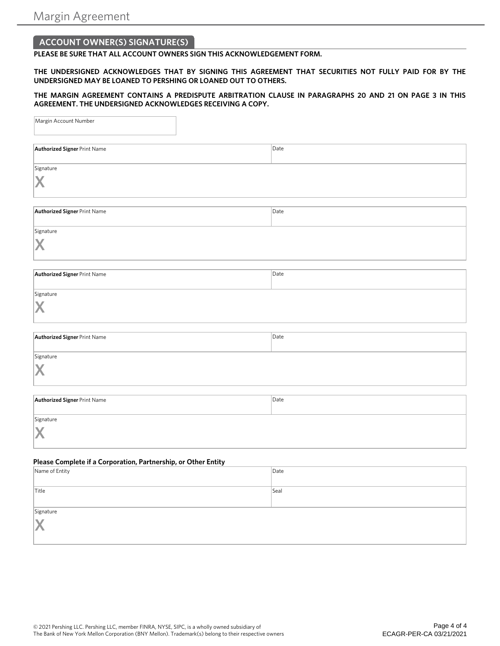# **ACCOUNT OWNER(S) SIGNATURE(S)**

**PLEASE BE SURE THAT ALL ACCOUNT OWNERS SIGN THIS ACKNOWLEDGEMENT FORM.**

**THE UNDERSIGNED ACKNOWLEDGES THAT BY SIGNING THIS AGREEMENT THAT SECURITIES NOT FULLY PAID FOR BY THE UNDERSIGNED MAY BE LOANED TO PERSHING OR LOANED OUT TO OTHERS.** 

**THE MARGIN AGREEMENT CONTAINS A PREDISPUTE ARBITRATION CLAUSE IN PARAGRAPHS 20 AND 21 ON PAGE 3 IN THIS AGREEMENT. THE UNDERSIGNED ACKNOWLEDGES RECEIVING A COPY.**

| Margin Account Number                                          |      |
|----------------------------------------------------------------|------|
| <b>Authorized Signer Print Name</b>                            | Date |
| Signature<br>X                                                 |      |
| <b>Authorized Signer Print Name</b>                            | Date |
| Signature<br>X                                                 |      |
| <b>Authorized Signer Print Name</b>                            | Date |
| Signature<br>X                                                 |      |
| <b>Authorized Signer Print Name</b>                            | Date |
| Signature<br>X                                                 |      |
| <b>Authorized Signer Print Name</b>                            | Date |
| Signature<br>X                                                 |      |
| Please Complete if a Corporation, Partnership, or Other Entity |      |
| Name of Entity                                                 | Date |
| Title                                                          | Seal |
| Signature                                                      |      |

© 2021 Pershing LLC. Pershing LLC, member FINRA, NYSE, SIPC, is a wholly owned subsidiary of The Bank of New York Mellon Corporation (BNY Mellon). Trademark(s) belong to their respective owners

**X**